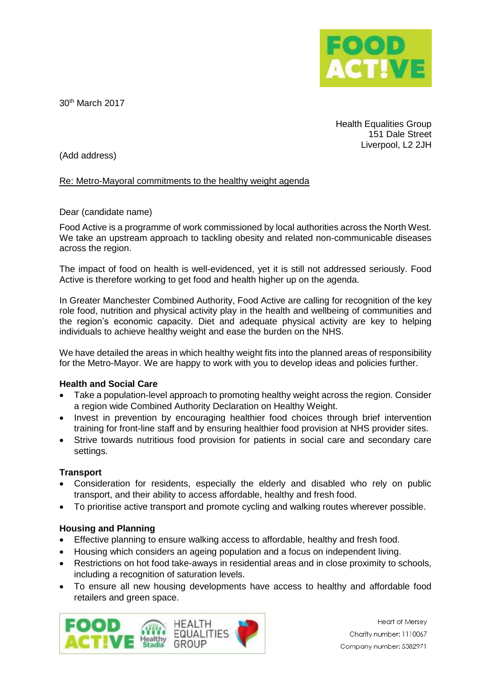

30th March 2017

Health Equalities Group 151 Dale Street Liverpool, L2 2JH

(Add address)

## Re: Metro-Mayoral commitments to the healthy weight agenda

### Dear (candidate name)

Food Active is a programme of work commissioned by local authorities across the North West. We take an upstream approach to tackling obesity and related non-communicable diseases across the region.

The impact of food on health is well-evidenced, yet it is still not addressed seriously. Food Active is therefore working to get food and health higher up on the agenda.

In Greater Manchester Combined Authority, Food Active are calling for recognition of the key role food, nutrition and physical activity play in the health and wellbeing of communities and the region's economic capacity. Diet and adequate physical activity are key to helping individuals to achieve healthy weight and ease the burden on the NHS.

We have detailed the areas in which healthy weight fits into the planned areas of responsibility for the Metro-Mayor. We are happy to work with you to develop ideas and policies further.

### **Health and Social Care**

- Take a population-level approach to promoting healthy weight across the region. Consider a region wide Combined Authority Declaration on Healthy Weight.
- Invest in prevention by encouraging healthier food choices through brief intervention training for front-line staff and by ensuring healthier food provision at NHS provider sites.
- Strive towards nutritious food provision for patients in social care and secondary care settings.

### **Transport**

- Consideration for residents, especially the elderly and disabled who rely on public transport, and their ability to access affordable, healthy and fresh food.
- To prioritise active transport and promote cycling and walking routes wherever possible.

# **Housing and Planning**

- Effective planning to ensure walking access to affordable, healthy and fresh food.
- Housing which considers an ageing population and a focus on independent living.
- Restrictions on hot food take-aways in residential areas and in close proximity to schools, including a recognition of saturation levels.
- To ensure all new housing developments have access to healthy and affordable food retailers and green space.



**Heart of Mersev** Charity number: 1110067 Company number: 5382971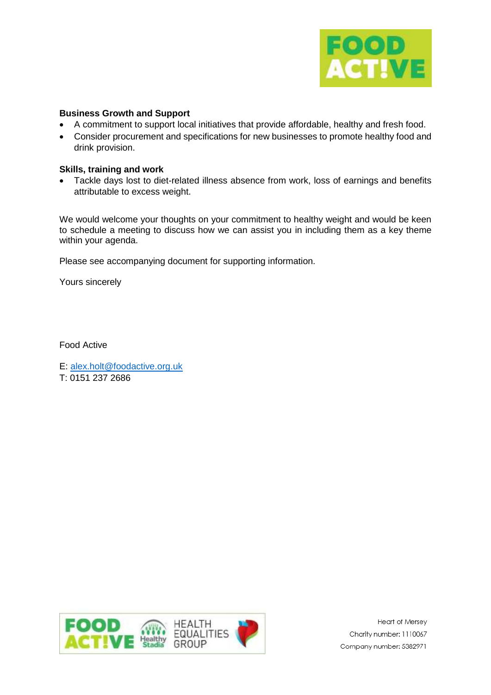

## **Business Growth and Support**

- A commitment to support local initiatives that provide affordable, healthy and fresh food.
- Consider procurement and specifications for new businesses to promote healthy food and drink provision.

### **Skills, training and work**

 Tackle days lost to diet-related illness absence from work, loss of earnings and benefits attributable to excess weight.

We would welcome your thoughts on your commitment to healthy weight and would be keen to schedule a meeting to discuss how we can assist you in including them as a key theme within your agenda.

Please see accompanying document for supporting information.

Yours sincerely

Food Active

E: [alex.holt@foodactive.org.uk](mailto:alex.holt@foodactive.org.uk) T: 0151 237 2686